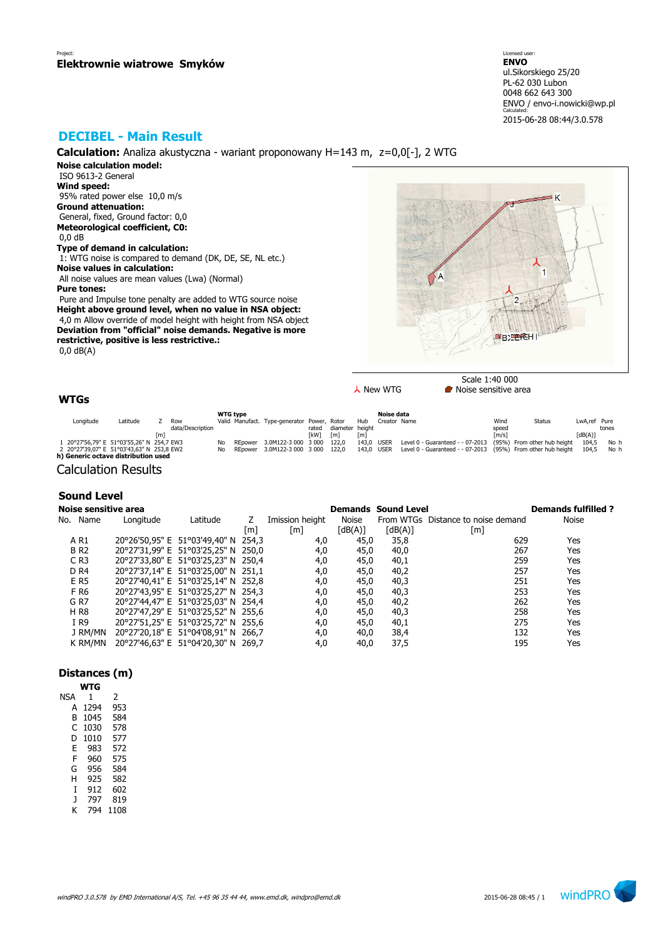Licensed user: **ENVO**  ul.Sikorskiego 25/20 PL-62 030 Lubon 0048 662 643 300 ENVO / envo-i.nowicki@wp.pl Calculated: 2015-06-28 08:44/3.0.578

# **DECIBEL - Main Result**

**Calculation:** Analiza akustyczna - wariant proponowany H=143 m, z=0,0[-], 2 WTG

**Noise calculation model:** ISO 9613-2 General **Wind speed:** 95% rated power else 10,0 m/s **Ground attenuation:** General, fixed, Ground factor: 0,0 **Meteorological coefficient, C0:** 0,0 dB **Type of demand in calculation:**

 1: WTG noise is compared to demand (DK, DE, SE, NL etc.) **Noise values in calculation:** All noise values are mean values (Lwa) (Normal)

**Pure tones:**

 Pure and Impulse tone penalty are added to WTG source noise **Height above ground level, when no value in NSA object:** 4,0 m Allow override of model height with height from NSA object **Deviation from "official" noise demands. Negative is more restrictive, positive is less restrictive.:** 0,0 dB(A)



 $\lambda$  New WTG **Noise** sensitive area

## **WTGs**

| Longitude<br>Latitude<br>Row<br>data/Description                                 |    | <b>WTG type</b> | Valid Manufact. Type-generator Power, Rotor | rated       | diameter height | Hub        | Noise data<br>Creator Name |                                                              | Wind<br>speed       | <b>Status</b> | LwA.ref Pure | tones |
|----------------------------------------------------------------------------------|----|-----------------|---------------------------------------------|-------------|-----------------|------------|----------------------------|--------------------------------------------------------------|---------------------|---------------|--------------|-------|
| [m]                                                                              |    |                 |                                             | <b>TkW1</b> | [m]             | [m]        |                            |                                                              | $\lceil m/s \rceil$ |               | [dB(A)]      |       |
| 1 20°27'56,79" E 51°03'55,26" N 254,7 EW3                                        | No | REpower         | 3.0M122-3 000 3 000                         |             | 122.0           | 143.0 USER |                            | Level 0 - Guaranteed - - 07-2013 (95%) From other hub height |                     |               | 104.5        | No h  |
| 2 20°27'39,07" E 51°03'43,63" N 253,8 EW2<br>h) Generic octave distribution used | Nο | REpower         | $-3.0M122 - 3000 - 3000$                    |             | 122.0           | 143.0 USER |                            | Level 0 - Guaranteed - - 07-2013 (95%) From other hub height |                     |               | 104.5        | No h  |

Calculation Results

## **Sound Level**

| Noise sensitive area |           |                                     |     |                   |         | <b>Demands Sound Level</b> |                                    | <b>Demands fulfilled?</b> |
|----------------------|-----------|-------------------------------------|-----|-------------------|---------|----------------------------|------------------------------------|---------------------------|
| No. Name             | Longitude | Latitude                            |     | Imission height   | Noise   |                            | From WTGs Distance to noise demand | Noise                     |
|                      |           |                                     | [m] | $\lceil m \rceil$ | [dB(A)] | [dB(A)]                    | [m]                                |                           |
| A R1                 |           | 20°26'50,95" E 51°03'49,40" N 254,3 |     | 4,0               | 45,0    | 35,8                       | 629                                | Yes                       |
| <b>BR2</b>           |           | 20°27'31,99" E 51°03'25,25" N 250,0 |     | 4,0               | 45,0    | 40,0                       | 267                                | Yes                       |
| $C$ R <sub>3</sub>   |           | 20°27'33,80" E 51°03'25,23" N 250,4 |     | 4,0               | 45,0    | 40,1                       | 259                                | Yes                       |
| D <sub>R4</sub>      |           | 20°27'37,14" E 51°03'25,00" N 251,1 |     | 4,0               | 45,0    | 40,2                       | 257                                | Yes                       |
| E R5                 |           | 20°27'40,41" E 51°03'25,14" N 252,8 |     | 4,0               | 45,0    | 40,3                       | 251                                | Yes                       |
| F R6                 |           | 20°27'43,95" E 51°03'25,27" N 254,3 |     | 4,0               | 45,0    | 40,3                       | 253                                | Yes                       |
| G R7                 |           | 20°27'44,47" E 51°03'25,03" N 254,4 |     | 4,0               | 45,0    | 40,2                       | 262                                | Yes                       |
| <b>HR8</b>           |           | 20°27'47,29" E 51°03'25,52" N 255,6 |     | 4,0               | 45,0    | 40,3                       | 258                                | Yes                       |
| I R9                 |           | 20°27'51,25" E 51°03'25,72" N 255,6 |     | 4,0               | 45,0    | 40,1                       | 275                                | Yes                       |
| J RM/MN              |           | 20°27'20,18" E 51°04'08,91" N 266,7 |     | 4,0               | 40,0    | 38,4                       | 132                                | Yes                       |
| k RM/MN              |           | 20°27'46,63" E 51°04'20,30" N 269,7 |     | 4,0               | 40,0    | 37,5                       | 195                                | Yes                       |

## **Distances (m)**

|     | WTG  |      |
|-----|------|------|
| NSA | 1    | 2    |
| A   | 1294 | 953  |
| в   | 1045 | 584  |
| C   | 1030 | 578  |
| D   | 1010 | 577  |
| F   | 983  | 572  |
| F   | 960  | 575  |
| G   | 956  | 584  |
| н   | 925  | 582  |
| T   | 912  | 602  |
| J   | 797  | 819  |
| K   | 794  | 1108 |
|     |      |      |

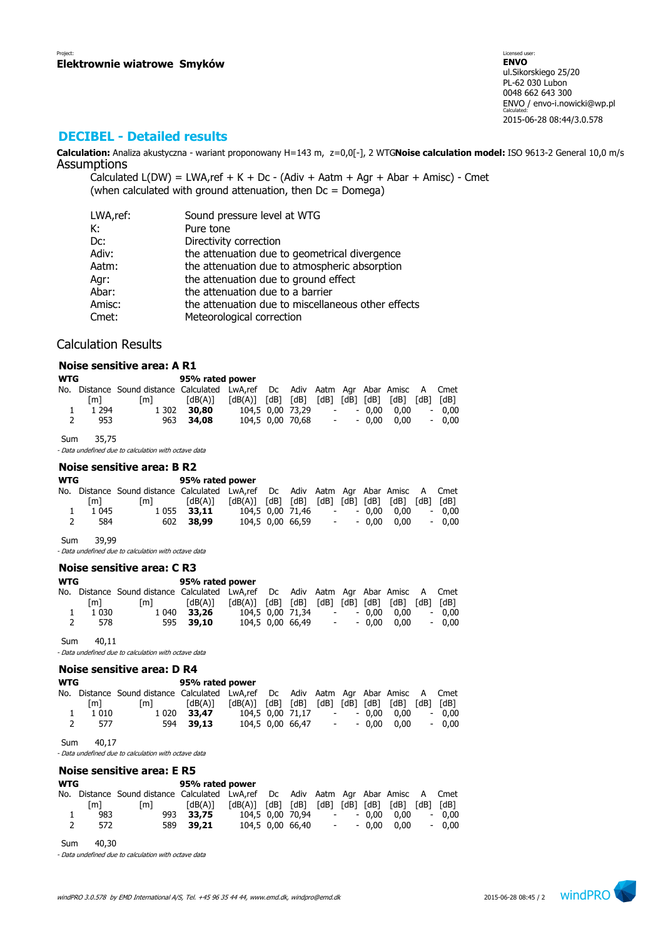# **DECIBEL - Detailed results**

**Calculation:** Analiza akustyczna - wariant proponowany H=143 m, z=0,0[-], 2 WTG**Noise calculation model:** ISO 9613-2 General 10,0 m/s **Assumptions** 

Calculated  $L(DW) = LWA$ , ref + K + Dc - (Adiv + Aatm + Agr + Abar + Amisc) - Cmet (when calculated with ground attenuation, then  $Dc = D$ omega)

| LWA,ref: | Sound pressure level at WTG                        |
|----------|----------------------------------------------------|
| К:       | Pure tone                                          |
| Dc:      | Directivity correction                             |
| Adiv:    | the attenuation due to geometrical divergence      |
| Aatm:    | the attenuation due to atmospheric absorption      |
| Agr:     | the attenuation due to ground effect               |
| Abar:    | the attenuation due to a barrier                   |
| Amisc:   | the attenuation due to miscellaneous other effects |
| Cmet:    | Meteorological correction                          |

## Calculation Results

|            |         | Noise sensitive area: A R1                           |                 |                       |      |                  |               |        |         |                     |                          |      |
|------------|---------|------------------------------------------------------|-----------------|-----------------------|------|------------------|---------------|--------|---------|---------------------|--------------------------|------|
|            |         |                                                      |                 |                       |      |                  |               |        |         |                     |                          |      |
| <b>WTG</b> |         |                                                      | 95% rated power |                       |      |                  |               |        |         |                     |                          |      |
| No.        |         | Distance Sound distance Calculated                   |                 | LwA,ref Dc            |      | Adiv             |               |        |         | Aatm Agr Abar Amisc | A                        | Cmet |
|            | [m]     | $\lceil m \rceil$                                    | [dB(A)]         | $\lceil dB(A) \rceil$ | [dB] | [dB]             | [dB]          | [dB]   | [dB]    | [dB]                | [dB]                     | [dB] |
| 1          | 1 2 9 4 | 1 302                                                | 30,80           |                       |      | 104.5 0.00 73.29 |               | $\sim$ | 0.00    | 0.00                | $\overline{\phantom{a}}$ | 0,00 |
|            | 953     | 963                                                  | 34,08           |                       |      | 104,5 0,00 70,68 |               |        | $-0.00$ | 0,00                | $\overline{\phantom{a}}$ | 0,00 |
| Sum        | 35,75   |                                                      |                 |                       |      |                  |               |        |         |                     |                          |      |
|            |         | - Data undefined due to calculation with octave data |                 |                       |      |                  |               |        |         |                     |                          |      |
|            |         | Noise sensitive area: B R2                           |                 |                       |      |                  |               |        |         |                     |                          |      |
| <b>WTG</b> |         |                                                      | 95% rated power |                       |      |                  |               |        |         |                     |                          |      |
|            |         | No. Distance Sound distance Calculated LwA, ref      |                 |                       | Dc   |                  | Adiv Aatm Agr |        |         | Abar Amisc          | A                        | Cmet |
|            | [m]     | [m]                                                  | [dB(A)]         | [dB(A)]               | [dB] | [dB]             | [dB]          | [dB]   | [dB]    | [dB]                | [dB]                     | [dB] |
|            |         | .                                                    |                 |                       |      | .  . <i></i>     |               |        | .       |                     |                          |      |

| 1 1 045<br>- 584 | 1 055 <b>33,11</b><br>602 38,99 | 104,5 0,00 71,46  -  - 0,00 0,00  - 0,00<br>104,5 0,00 66,59 |  |  | $ -$ 0,00 0,00 $-$ 0,00 |  |
|------------------|---------------------------------|--------------------------------------------------------------|--|--|-------------------------|--|
|                  |                                 |                                                              |  |  |                         |  |

Sum 39,99 - Data undefined due to calculation with octave data

### **Noise sensitive area: C R3**

| WTG | 95% rated power |
|-----|-----------------|
|-----|-----------------|

|              |           | No. Distance Sound distance Calculated LwA,ref Dc Adiv Aatm Agr Abar Amisc A Cmet |             |                                |  |  |                |         |
|--------------|-----------|-----------------------------------------------------------------------------------|-------------|--------------------------------|--|--|----------------|---------|
|              | [m]       | [m]                                                                               |             |                                |  |  |                |         |
|              | 1 1 0 3 0 |                                                                                   | 1 040 33.26 | 104.5 0.00 71.34 - - 0.00 0.00 |  |  |                | $-0.00$ |
| <sup>2</sup> | 578       |                                                                                   | 595 39,10   | 104.5 0.00 66.49               |  |  | $ -$ 0.00 0.00 | $-0.00$ |
|              |           |                                                                                   |             |                                |  |  |                |         |

Sum 40,11

- Data undefined due to calculation with octave data

## **Noise sensitive area: D R4**

#### **WTG 95% rated power**

|   |         | No. Distance Sound-distance Calculated LwA,ref Dc Adiv Aatm Agr Abar Amisc A Cmet |                  |                                                                                                                                                            |  |  |                |         |
|---|---------|-----------------------------------------------------------------------------------|------------------|------------------------------------------------------------------------------------------------------------------------------------------------------------|--|--|----------------|---------|
|   | [m]     | $\mathsf{Im}\mathsf{I}$                                                           | [dB(A)]          | $\lceil dB(A) \rceil$ $\lceil dB \rceil$ $\lceil dB \rceil$ $\lceil dB \rceil$ $\lceil dB \rceil$ $\lceil dB \rceil$ $\lceil dB \rceil$ $\lceil dB \rceil$ |  |  |                |         |
|   | 1 0 1 0 |                                                                                   | 1 0 20 3 3 . 4 7 | 104,5 0,00 71,17                                                                                                                                           |  |  | - - 0.00 0.00  | $-0.00$ |
| 2 | 577     |                                                                                   | 594 39.13        | 104.5 0.00 66.47                                                                                                                                           |  |  | $ -$ 0.00 0.00 | $-0.00$ |

Sum 40,17

- Data undefined due to calculation with octave data

# **Noise sensitive area: E R5**

| <b>WTG</b> |     |                                                                                    | 95% rated power |                  |                  |                         |                |         |
|------------|-----|------------------------------------------------------------------------------------|-----------------|------------------|------------------|-------------------------|----------------|---------|
|            |     | No. Distance Sound distance Calculated LwA, ref Dc Adiv Aatm Agr Abar Amisc A Cmet |                 |                  |                  |                         |                |         |
|            | [m] | lm I                                                                               | [dB(A)]         |                  |                  |                         |                |         |
|            | 983 |                                                                                    | 993 33.75       | 104,5 0,00 70,94 |                  | $\sim 100$ km s $^{-1}$ | $-0.00$ $0.00$ | $-0.00$ |
|            | 572 |                                                                                    | 589 39.21       |                  | 104.5 0.00 66.40 | <b>All Control</b>      | $-0.00$ $0.00$ | $-0.00$ |

Sum 40,30

- Data undefined due to calculation with octave data

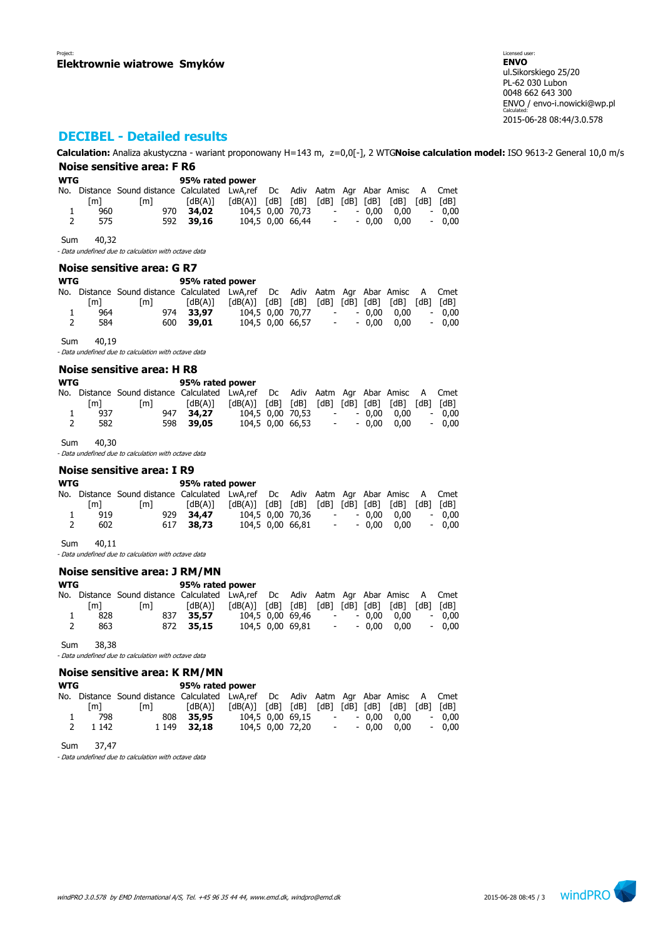Licensed user: **ENVO**  ul.Sikorskiego 25/20 PL-62 030 Lubon 0048 662 643 300 ENVO / envo-i.nowicki@wp.pl Calculated: 2015-06-28 08:44/3.0.578

# **DECIBEL - Detailed results**

**Calculation:** Analiza akustyczna - wariant proponowany H=143 m, z=0,0[-], 2 WTG**Noise calculation model:** ISO 9613-2 General 10,0 m/s **Noise sensitive area: F R6**

|                                   |                                 | Noise sensitive area: r Ro                                           |                                                                          |                                          |            |                                                             |                                                      |                      |                    |                                                           |                                                                   |                              |
|-----------------------------------|---------------------------------|----------------------------------------------------------------------|--------------------------------------------------------------------------|------------------------------------------|------------|-------------------------------------------------------------|------------------------------------------------------|----------------------|--------------------|-----------------------------------------------------------|-------------------------------------------------------------------|------------------------------|
| WTG<br>1<br>2                     | $\lceil m \rceil$<br>960<br>575 | No. Distance Sound distance Calculated LwA,ref<br>$\lceil m \rceil$  | 95% rated power<br>[dB(A)]<br>970<br>34,02<br>592<br>39,16               | $\lceil dB(A) \rceil$                    | Dc<br>[dB] | [dB]<br>104,5 0,00 70,73<br>104,5 0,00 66,44                | $\overline{\phantom{a}}$<br>$\overline{\phantom{a}}$ | $[dB]$ $[dB]$ $[dB]$ | $-0.00$<br>$-0,00$ | Adiv Aatm Agr Abar Amisc<br>[dB]<br>0,00<br>0,00          | A<br>[dB]<br>$\overline{\phantom{a}}$                             | Cmet<br>[dB]<br>0,00<br>0,00 |
| Sum                               | 40,32                           | - Data undefined due to calculation with octave data                 |                                                                          |                                          |            |                                                             |                                                      |                      |                    |                                                           |                                                                   |                              |
|                                   |                                 | Noise sensitive area: G R7                                           |                                                                          |                                          |            |                                                             |                                                      |                      |                    |                                                           |                                                                   |                              |
| <b>WTG</b><br>1<br>$\overline{2}$ | $\lceil m \rceil$<br>964<br>584 | No. Distance Sound distance Calculated LwA,ref<br>$\lceil m \rceil$  | 95% rated power<br>$\lceil dB(A)\rceil$<br>33,97<br>974<br>600<br>39,01  | $\lceil dB(A) \rceil$ $\lceil dB \rceil$ | Dc         | [dB] [dB] [dB] [dB]<br>104,5 0,00 70,77<br>104,5 0,00 66,57 | $\sim$<br>$\overline{\phantom{a}}$                   |                      | $-0,00$<br>$-0,00$ | Adiv Aatm Agr Abar Amisc<br>$[dB]$ $[dB]$<br>0,00<br>0,00 | A<br>$\overline{\phantom{a}}$<br>$\overline{\phantom{a}}$         | Cmet<br>[dB]<br>0,00<br>0,00 |
| Sum                               | 40,19                           | - Data undefined due to calculation with octave data                 |                                                                          |                                          |            |                                                             |                                                      |                      |                    |                                                           |                                                                   |                              |
|                                   |                                 | Noise sensitive area: H R8                                           |                                                                          |                                          |            |                                                             |                                                      |                      |                    |                                                           |                                                                   |                              |
| <b>WTG</b><br>No.<br>1<br>2       | $\lceil m \rceil$<br>937<br>582 | Distance Sound distance Calculated LwA,ref<br> m                     | 95% rated power<br>$\lceil dB(A) \rceil$<br>947<br>34,27<br>598<br>39,05 | $\lceil dB(A) \rceil$                    | Dc<br>[dB] | [dB]<br>104,5 0,00 70,53<br>104,5 0,00 66,53                | $\overline{\phantom{a}}$<br>-                        | [dB] [dB] [dB]       | $-0,00$<br>$-0.00$ | Adiv Aatm Agr Abar Amisc<br>$[dB]$ $[dB]$<br>0,00<br>0,00 | A<br>$\overline{\phantom{a}}$<br>$\overline{\phantom{a}}$         | Cmet<br>[dB]<br>0,00<br>0,00 |
| Sum                               | 40,30                           | - Data undefined due to calculation with octave data                 |                                                                          |                                          |            |                                                             |                                                      |                      |                    |                                                           |                                                                   |                              |
|                                   |                                 | Noise sensitive area: I R9                                           |                                                                          |                                          |            |                                                             |                                                      |                      |                    |                                                           |                                                                   |                              |
| <b>WTG</b><br>1<br>$\overline{2}$ | [m]<br>919<br>602               | No. Distance Sound distance Calculated LwA, ref<br>$\lceil m \rceil$ | 95% rated power<br>$\lceil dB(A)\rceil$<br>929<br>34,47<br>617<br>38,73  | $\lceil dB(A) \rceil$                    | Dc<br>[dB] | [dB]<br>104,5 0,00 70,36<br>104,5 0,00 66,81                | $ \,$<br>$\overline{\phantom{a}}$                    | $[dB]$ $[dB]$ $[dB]$ | $-0,00$<br>$-0,00$ | Adiv Aatm Agr Abar Amisc<br>[dB]<br>0,00<br>0,00          | A<br> dB <br>$\overline{\phantom{a}}$<br>$\overline{\phantom{a}}$ | Cmet<br>[dB]<br>0,00<br>0,00 |
| Sum                               | 40,11                           | - Data undefined due to calculation with octave data                 |                                                                          |                                          |            |                                                             |                                                      |                      |                    |                                                           |                                                                   |                              |
|                                   |                                 | Noise sensitive area: J RM/MN                                        |                                                                          |                                          |            |                                                             |                                                      |                      |                    |                                                           |                                                                   |                              |
| <b>WTG</b>                        |                                 |                                                                      | 95% rated power                                                          |                                          |            |                                                             |                                                      |                      |                    |                                                           |                                                                   |                              |
| No.<br>1<br>2                     | [m]<br>828<br>863               | Distance Sound distance Calculated LwA,ref<br>$\lceil m \rceil$      | $\lceil dB(A)\rceil$<br>837<br>35,57<br>872<br>35,15                     | [dB(A)]                                  | Dc<br>[dB] | [dB]<br>104,5 0,00 69,46<br>104,5 0,00 69,81                | $\overline{\phantom{0}}$<br>$\overline{\phantom{0}}$ | $[dB]$ $[dB]$ $[dB]$ | - 0,00<br>$-0,00$  | Adiv Aatm Agr Abar Amisc<br>[dB]<br>0,00<br>0,00          | A<br>[dB]                                                         | Cmet<br>[dB]<br>0,00<br>0,00 |

Sum 38,38

- Data undefined due to calculation with octave data

#### **Noise sensitive area: K RM/MN**

#### **WTG 95% rated power**

|   |         | No. Distance Sound distance Calculated LwA,ref Dc Adiv Aatm Agr Abar Amisc A Cmet |             |                                                                                                                                                            |                  |            |               |         |
|---|---------|-----------------------------------------------------------------------------------|-------------|------------------------------------------------------------------------------------------------------------------------------------------------------------|------------------|------------|---------------|---------|
|   | [m]     | m                                                                                 | [dB(A)]     | $\lceil dB(A) \rceil$ $\lceil dB \rceil$ $\lceil dB \rceil$ $\lceil dB \rceil$ $\lceil dB \rceil$ $\lceil dB \rceil$ $\lceil dB \rceil$ $\lceil dB \rceil$ |                  |            |               |         |
|   | 798     |                                                                                   | 808 35,95   | 104,5 0,00 69,15                                                                                                                                           |                  |            | - - 0.00 0.00 | $-0.00$ |
| 2 | 1 1 4 2 |                                                                                   | 1 149 32.18 |                                                                                                                                                            | 104,5 0,00 72,20 | $\sim 100$ | - 0.00 0.00   | $-0.00$ |

Sum 37,47

- Data undefined due to calculation with octave data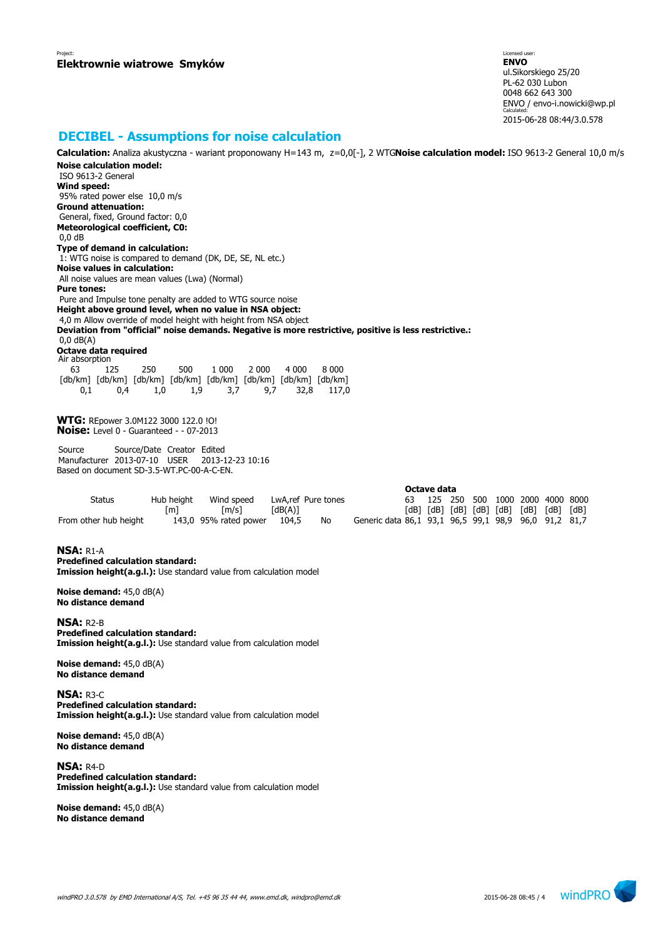Licensed user: **ENVO**  ul.Sikorskiego 25/20 PL-62 030 Lubon 0048 662 643 300 ENVO / envo-i.nowicki@wp.pl Calculated: 2015-06-28 08:44/3.0.578

# **DECIBEL - Assumptions for noise calculation**

**Calculation:** Analiza akustyczna - wariant proponowany H=143 m, z=0,0[-], 2 WTG**Noise calculation model:** ISO 9613-2 General 10,0 m/s **Noise calculation model:**

 ISO 9613-2 General **Wind speed:** 95% rated power else 10,0 m/s **Ground attenuation:** General, fixed, Ground factor: 0,0 **Meteorological coefficient, C0:** 0,0 dB **Type of demand in calculation:** 1: WTG noise is compared to demand (DK, DE, SE, NL etc.) **Noise values in calculation:** All noise values are mean values (Lwa) (Normal) **Pure tones:** Pure and Impulse tone penalty are added to WTG source noise **Height above ground level, when no value in NSA object:** 4,0 m Allow override of model height with height from NSA object **Deviation from "official" noise demands. Negative is more restrictive, positive is less restrictive.:** 0,0 dB(A) **Octave data required** Air absorption 63 125 250 500 1 000 2 000 4 000 8 000 [db/km] [db/km] [db/km] [db/km] [db/km] [db/km] [db/km] [db/km] 0,1 0,4 1,0 1,9 3,7 9,7 32,8 117,0 **WTG:** REpower 3.0M122 3000 122.0 !O! **Noise:** Level 0 - Guaranteed - - 07-2013 Source Source/Date Creator Edited Manufacturer 2013-07-10 USER 2013-12-23 10:16 Based on document SD-3.5-WT.PC-00-A-C-EN. **Octave data** Status Hub height Wind speed LwA,ref Pure tones 63 125 250 500 1000 2000 4000 8000 [m] [m/s] [dB(A)] [dB] [dB] [dB] [dB] [dB] [dB] [dB] [dB] From other hub height 143,0 95% rated power 104,5 No Generic data 86,1 93,1 96,5 99,1 98,9 96,0 91,2 81,7 **NSA:** R1-A **Predefined calculation standard: Imission height(a.g.l.):** Use standard value from calculation model **Noise demand:** 45,0 dB(A) **No distance demand NSA:** R2-B **Predefined calculation standard: Imission height(a.g.l.):** Use standard value from calculation model **Noise demand:** 45,0 dB(A) **No distance demand NSA:** R3-C **Predefined calculation standard: Imission height(a.g.l.):** Use standard value from calculation model **Noise demand:** 45,0 dB(A) **No distance demand NSA:** R4-D **Predefined calculation standard: Imission height(a.g.l.):** Use standard value from calculation model **Noise demand:** 45,0 dB(A)

**No distance demand**